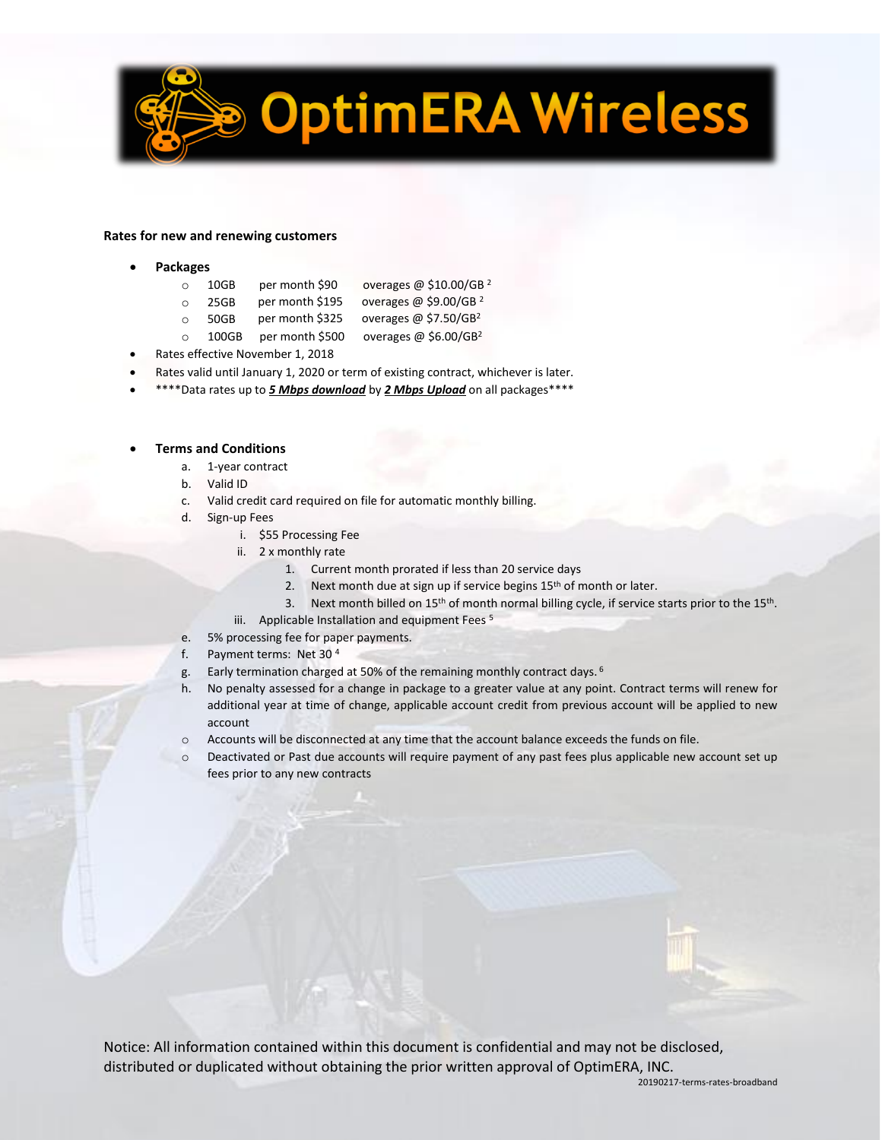

## **Rates for new and renewing customers**

- **Packages**
	- o 10GB per month \$90 overages @ \$10.00/GB <sup>2</sup>
	- o 25GB per month \$195 overages @ \$9.00/GB<sup>2</sup>
	- o 50GB per month \$325 overages @ \$7.50/GB<sup>2</sup>
	- $\degree$  100GB per month \$500 overages @ \$6.00/GB<sup>2</sup>
- Rates effective November 1, 2018
- Rates valid until January 1, 2020 or term of existing contract, whichever is later.
- \*\*\*\*Data rates up to *5 Mbps download* by *2 Mbps Upload* on all packages\*\*\*\*

## • **Terms and Conditions**

- a. 1-year contract
- b. Valid ID
- c. Valid credit card required on file for automatic monthly billing.
- d. Sign-up Fees
	- i. \$55 Processing Fee
	- ii. 2 x monthly rate
		- 1. Current month prorated if less than 20 service days
		- 2. Next month due at sign up if service begins 15<sup>th</sup> of month or later.
		- 3. Next month billed on 15<sup>th</sup> of month normal billing cycle, if service starts prior to the 15<sup>th</sup>.
	- iii. Applicable Installation and equipment Fees<sup>5</sup>
- e. 5% processing fee for paper payments.
- f. Payment terms: Net 30 <sup>4</sup>
- g. Early termination charged at 50% of the remaining monthly contract days. <sup>6</sup>
- h. No penalty assessed for a change in package to a greater value at any point. Contract terms will renew for additional year at time of change, applicable account credit from previous account will be applied to new account
- $\circ$  Accounts will be disconnected at any time that the account balance exceeds the funds on file.
- o Deactivated or Past due accounts will require payment of any past fees plus applicable new account set up fees prior to any new contracts



Notice: All information contained within this document is confidential and may not be disclosed, distributed or duplicated without obtaining the prior written approval of OptimERA, INC.